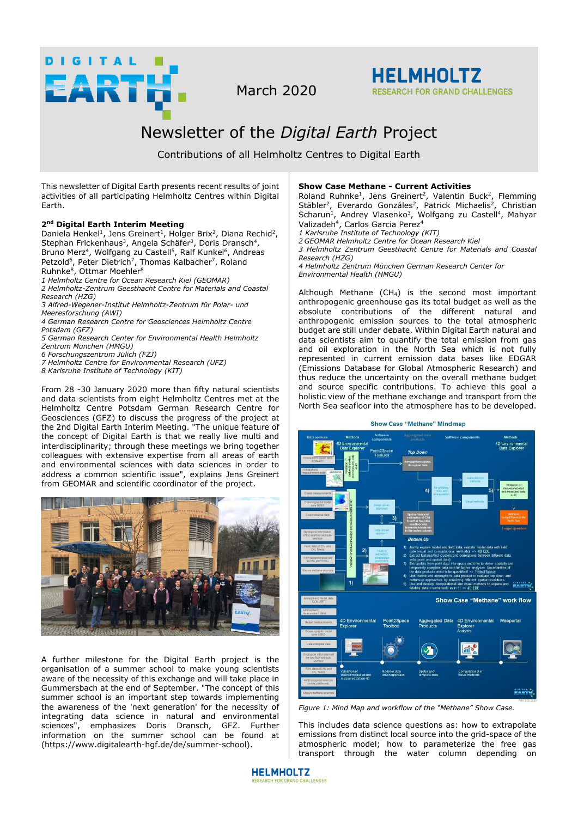

March 2020



# Newsletter of the *Digital Earth* Project

Contributions of all Helmholtz Centres to Digital Earth

This newsletter of Digital Earth presents recent results of joint activities of all participating Helmholtz Centres within Digital Earth.

# **2 nd Digital Earth Interim Meeting**

Daniela Henkel<sup>1</sup>, Jens Greinert<sup>1</sup>, Holger Brix<sup>2</sup>, Diana Rechid<sup>2</sup>, Stephan Frickenhaus<sup>3</sup>, Angela Schäfer<sup>3</sup>, Doris Dransch<sup>4</sup>, Bruno Merz<sup>4</sup>, Wolfgang zu Castell<sup>5</sup>, Ralf Kunkel<sup>6</sup>, Andreas Petzold<sup>6</sup>, Peter Dietrich<sup>7</sup>, Thomas Kalbacher<sup>7</sup>, Roland Ruhnke<sup>8</sup>, Ottmar Moehler<sup>8</sup>

- *1 Helmholtz Centre for Ocean Research Kiel (GEOMAR)*
- *2 Helmholtz-Zentrum Geesthacht Centre for Materials and Coastal Research (HZG)*
- *3 Alfred-Wegener-Institut Helmholtz-Zentrum für Polar- und Meeresforschung (AWI)*
- *4 German Research Centre for Geosciences Helmholtz Centre Potsdam (GFZ)*

*5 German Research Center for Environmental Health Helmholtz Zentrum München (HMGU)* 

- *6 Forschungszentrum Jülich (FZJ)*
- *7 Helmholtz Centre for Environmental Research (UFZ)*
- 
- *8 Karlsruhe Institute of Technology (KIT)*

From 28 -30 January 2020 more than fifty natural scientists and data scientists from eight Helmholtz Centres met at the Helmholtz Centre Potsdam German Research Centre for Geosciences (GFZ) to discuss the progress of the project at the 2nd Digital Earth Interim Meeting. "The unique feature of the concept of Digital Earth is that we really live multi and interdisciplinarity; through these meetings we bring together colleagues with extensive expertise from all areas of earth and environmental sciences with data sciences in order to address a common scientific issue", explains Jens Greinert from GEOMAR and scientific coordinator of the project.



A further milestone for the Digital Earth project is the organisation of a summer school to make young scientists aware of the necessity of this exchange and will take place in Gummersbach at the end of September. "The concept of this summer school is an important step towards implementing the awareness of the 'next generation' for the necessity of integrating data science in natural and environmental sciences", emphasizes Doris Dransch, GFZ. Further information on the summer school can be found at (https://www.digitalearth-hgf.de/de/summer-school).

## **Show Case Methane - Current Activities**

Roland Ruhnke<sup>1</sup>, Jens Greinert<sup>2</sup>, Valentin Buck<sup>2</sup>, Flemming Stäbler<sup>2</sup>, Everardo Gonzáles<sup>2</sup>, Patrick Michaelis<sup>2</sup>, Christian Scharun<sup>1</sup>, Andrey Vlasenko<sup>3</sup>, Wolfgang zu Castell<sup>4</sup>, Mahyar Valizadeh<sup>4</sup>, Carlos Garcia Perez<sup>4</sup>

- *1 Karlsruhe Institute of Technology (KIT)*
- *2 GEOMAR Helmholtz Centre for Ocean Research Kiel*
- *3 Helmholtz Zentrum Geesthacht Centre for Materials and Coastal Research (HZG)*

*4 Helmholtz Zentrum München German Research Center for Environmental Health (HMGU)* 

Although Methane  $(CH_4)$  is the second most important anthropogenic greenhouse gas its total budget as well as the absolute contributions of the different natural and anthropogenic emission sources to the total atmospheric budget are still under debate. Within Digital Earth natural and data scientists aim to quantify the total emission from gas and oil exploration in the North Sea which is not fully represented in current emission data bases like EDGAR (Emissions Database for Global Atmospheric Research) and thus reduce the uncertainty on the overall methane budget and source specific contributions. To achieve this goal a holistic view of the methane exchange and transport from the North Sea seafloor into the atmosphere has to be developed.

**Show Case "Methane" Mind map** 



*Figure 1: Mind Map and workflow of the "Methane" Show Case.* 

This includes data science questions as: how to extrapolate emissions from distinct local source into the grid-space of the atmospheric model; how to parameterize the free gas transport through the water column depending on

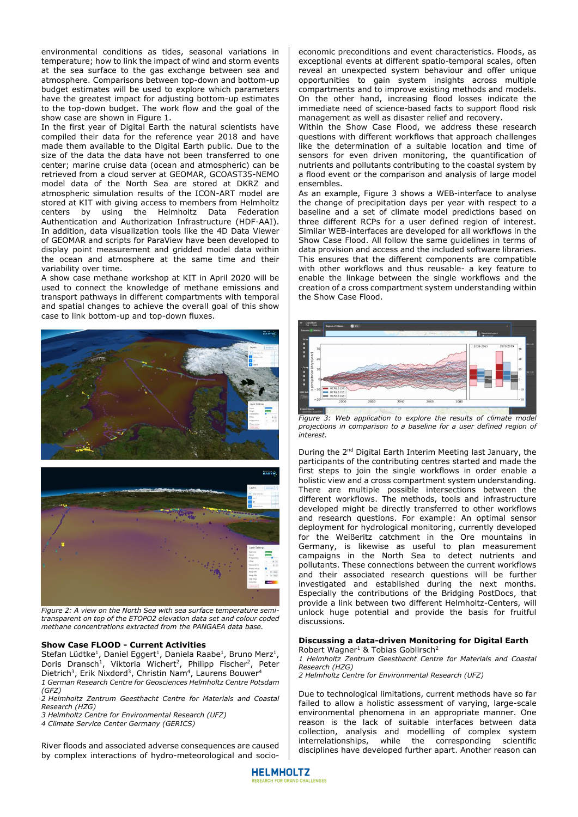environmental conditions as tides, seasonal variations in temperature; how to link the impact of wind and storm events at the sea surface to the gas exchange between sea and atmosphere. Comparisons between top-down and bottom-up budget estimates will be used to explore which parameters have the greatest impact for adjusting bottom-up estimates to the top-down budget. The work flow and the goal of the show case are shown in Figure 1.

In the first year of Digital Earth the natural scientists have compiled their data for the reference year 2018 and have made them available to the Digital Earth public. Due to the size of the data the data have not been transferred to one center; marine cruise data (ocean and atmospheric) can be retrieved from a cloud server at GEOMAR, GCOAST35-NEMO model data of the North Sea are stored at DKRZ and atmospheric simulation results of the ICON-ART model are stored at KIT with giving access to members from Helmholtz centers by using the Helmholtz Data Federation Authentication and Authorization Infrastructure (HDF-AAI). In addition, data visualization tools like the 4D Data Viewer of GEOMAR and scripts for ParaView have been developed to display point measurement and gridded model data within the ocean and atmosphere at the same time and their variability over time.

A show case methane workshop at KIT in April 2020 will be used to connect the knowledge of methane emissions and transport pathways in different compartments with temporal and spatial changes to achieve the overall goal of this show case to link bottom-up and top-down fluxes.



*Figure 2: A view on the North Sea with sea surface temperature semitransparent on top of the ETOPO2 elevation data set and colour coded methane concentrations extracted from the PANGAEA data base.* 

### **Show Case FLOOD - Current Activities**

Stefan Lüdtke<sup>1</sup>, Daniel Eggert<sup>1</sup>, Daniela Raabe<sup>1</sup>, Bruno Merz<sup>1</sup>, Doris Dransch<sup>1</sup>, Viktoria Wichert<sup>2</sup>, Philipp Fischer<sup>2</sup>, Peter Dietrich<sup>3</sup>, Erik Nixdord<sup>3</sup>, Christin Nam<sup>4</sup>, Laurens Bouwer<sup>4</sup> *1 German Research Centre for Geosciences Helmholtz Centre Potsdam (GFZ)*

*2 Helmholtz Zentrum Geesthacht Centre for Materials and Coastal Research (HZG)*

*3 Helmholtz Centre for Environmental Research (UFZ)*

*4 Climate Service Center Germany (GERICS)* 

River floods and associated adverse consequences are caused by complex interactions of hydro-meteorological and socioeconomic preconditions and event characteristics. Floods, as exceptional events at different spatio-temporal scales, often reveal an unexpected system behaviour and offer unique opportunities to gain system insights across multiple compartments and to improve existing methods and models. On the other hand, increasing flood losses indicate the immediate need of science-based facts to support flood risk management as well as disaster relief and recovery.

Within the Show Case Flood, we address these research questions with different workflows that approach challenges like the determination of a suitable location and time of sensors for even driven monitoring, the quantification of nutrients and pollutants contributing to the coastal system by a flood event or the comparison and analysis of large model ensembles.

As an example, Figure 3 shows a WEB-interface to analyse the change of precipitation days per year with respect to a baseline and a set of climate model predictions based on three different RCPs for a user defined region of interest. Similar WEB-interfaces are developed for all workflows in the Show Case Flood. All follow the same guidelines in terms of data provision and access and the included software libraries. This ensures that the different components are compatible with other workflows and thus reusable- a key feature to enable the linkage between the single workflows and the creation of a cross compartment system understanding within the Show Case Flood.



*Figure 3: Web application to explore the results of climate model projections in comparison to a baseline for a user defined region of interest.* 

During the 2nd Digital Earth Interim Meeting last January, the participants of the contributing centres started and made the first steps to join the single workflows in order enable a holistic view and a cross compartment system understanding. There are multiple possible intersections between the different workflows. The methods, tools and infrastructure developed might be directly transferred to other workflows and research questions. For example: An optimal sensor deployment for hydrological monitoring, currently developed for the Weißeritz catchment in the Ore mountains in Germany, is likewise as useful to plan measurement campaigns in the North Sea to detect nutrients and pollutants. These connections between the current workflows and their associated research questions will be further investigated and established during the next months. Especially the contributions of the Bridging PostDocs, that provide a link between two different Helmholtz-Centers, will unlock huge potential and provide the basis for fruitful discussions.

#### **Discussing a data-driven Monitoring for Digital Earth**  Robert Wagner<sup>1</sup> & Tobias Goblirsch<sup>2</sup>

*1 Helmholtz Zentrum Geesthacht Centre for Materials and Coastal Research (HZG)*

*2 Helmholtz Centre for Environmental Research (UFZ)* 

Due to technological limitations, current methods have so far failed to allow a holistic assessment of varying, large-scale environmental phenomena in an appropriate manner. One reason is the lack of suitable interfaces between data collection, analysis and modelling of complex system interrelationships, while the corresponding scientific disciplines have developed further apart. Another reason can